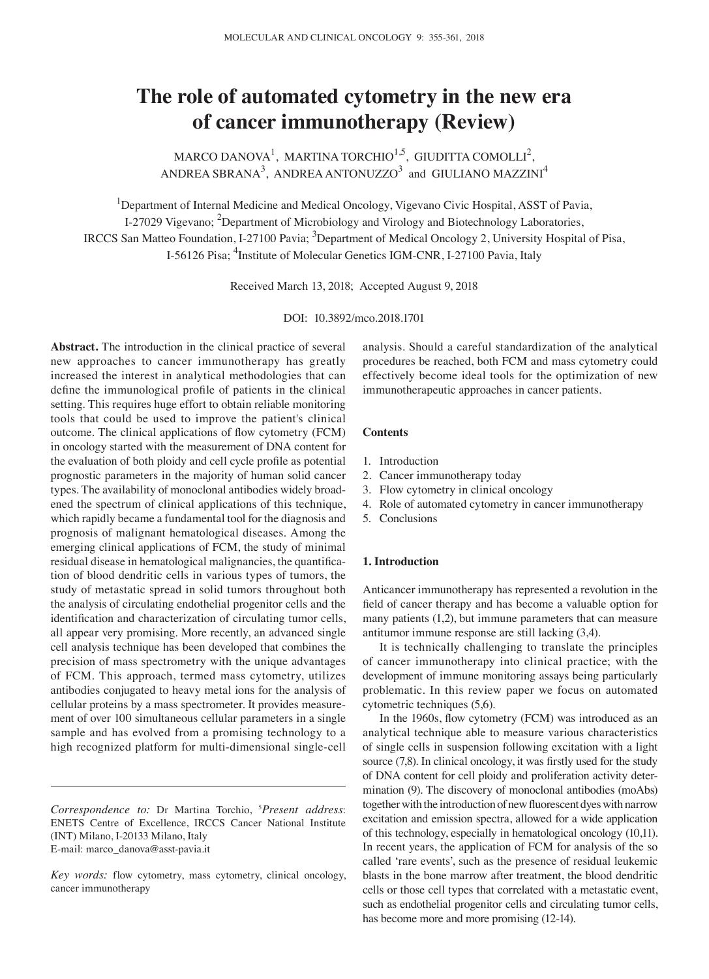# **The role of automated cytometry in the new era of cancer immunotherapy (Review)**

MARCO DANOVA<sup>1</sup>, MARTINA TORCHIO<sup>1,5</sup>, GIUDITTA COMOLLI<sup>2</sup>, ANDREA SBRANA<sup>3</sup>, ANDREA ANTONUZZO<sup>3</sup> and GIULIANO MAZZINI<sup>4</sup>

<sup>1</sup>Department of Internal Medicine and Medical Oncology, Vigevano Civic Hospital, ASST of Pavia, I-27029 Vigevano; <sup>2</sup>Department of Microbiology and Virology and Biotechnology Laboratories, IRCCS San Matteo Foundation, I-27100 Pavia; <sup>3</sup>Department of Medical Oncology 2, University Hospital of Pisa, I-56126 Pisa; <sup>4</sup>Institute of Molecular Genetics IGM-CNR, I-27100 Pavia, Italy

Received March 13, 2018; Accepted August 9, 2018

DOI: 10.3892/mco.2018.1701

**Abstract.** The introduction in the clinical practice of several new approaches to cancer immunotherapy has greatly increased the interest in analytical methodologies that can define the immunological profile of patients in the clinical setting. This requires huge effort to obtain reliable monitoring tools that could be used to improve the patient's clinical outcome. The clinical applications of flow cytometry (FCM) in oncology started with the measurement of DNA content for the evaluation of both ploidy and cell cycle profile as potential prognostic parameters in the majority of human solid cancer types. The availability of monoclonal antibodies widely broadened the spectrum of clinical applications of this technique, which rapidly became a fundamental tool for the diagnosis and prognosis of malignant hematological diseases. Among the emerging clinical applications of FCM, the study of minimal residual disease in hematological malignancies, the quantification of blood dendritic cells in various types of tumors, the study of metastatic spread in solid tumors throughout both the analysis of circulating endothelial progenitor cells and the identification and characterization of circulating tumor cells, all appear very promising. More recently, an advanced single cell analysis technique has been developed that combines the precision of mass spectrometry with the unique advantages of FCM. This approach, termed mass cytometry, utilizes antibodies conjugated to heavy metal ions for the analysis of cellular proteins by a mass spectrometer. It provides measurement of over 100 simultaneous cellular parameters in a single sample and has evolved from a promising technology to a high recognized platform for multi-dimensional single-cell

analysis. Should a careful standardization of the analytical procedures be reached, both FCM and mass cytometry could effectively become ideal tools for the optimization of new immunotherapeutic approaches in cancer patients.

# **Contents**

- 1. Introduction
- 2. Cancer immunotherapy today
- 3. Flow cytometry in clinical oncology
- 4. Role of automated cytometry in cancer immunotherapy
- 5. Conclusions

# **1. Introduction**

Anticancer immunotherapy has represented a revolution in the field of cancer therapy and has become a valuable option for many patients (1,2), but immune parameters that can measure antitumor immune response are still lacking (3,4).

It is technically challenging to translate the principles of cancer immunotherapy into clinical practice; with the development of immune monitoring assays being particularly problematic. In this review paper we focus on automated cytometric techniques (5,6).

In the 1960s, flow cytometry (FCM) was introduced as an analytical technique able to measure various characteristics of single cells in suspension following excitation with a light source (7,8). In clinical oncology, it was firstly used for the study of DNA content for cell ploidy and proliferation activity determination (9). The discovery of monoclonal antibodies (moAbs) together with the introduction of new fluorescent dyes with narrow excitation and emission spectra, allowed for a wide application of this technology, especially in hematological oncology (10,11). In recent years, the application of FCM for analysis of the so called 'rare events', such as the presence of residual leukemic blasts in the bone marrow after treatment, the blood dendritic cells or those cell types that correlated with a metastatic event, such as endothelial progenitor cells and circulating tumor cells, has become more and more promising (12-14).

*Correspondence to:* Dr Martina Torchio, 5 *Present address*: ENETS Centre of Excellence, IRCCS Cancer National Institute (INT) Milano, I-20133 Milano, Italy E-mail: marco\_danova@asst-pavia.it

*Key words:* flow cytometry, mass cytometry, clinical oncology, cancer immunotherapy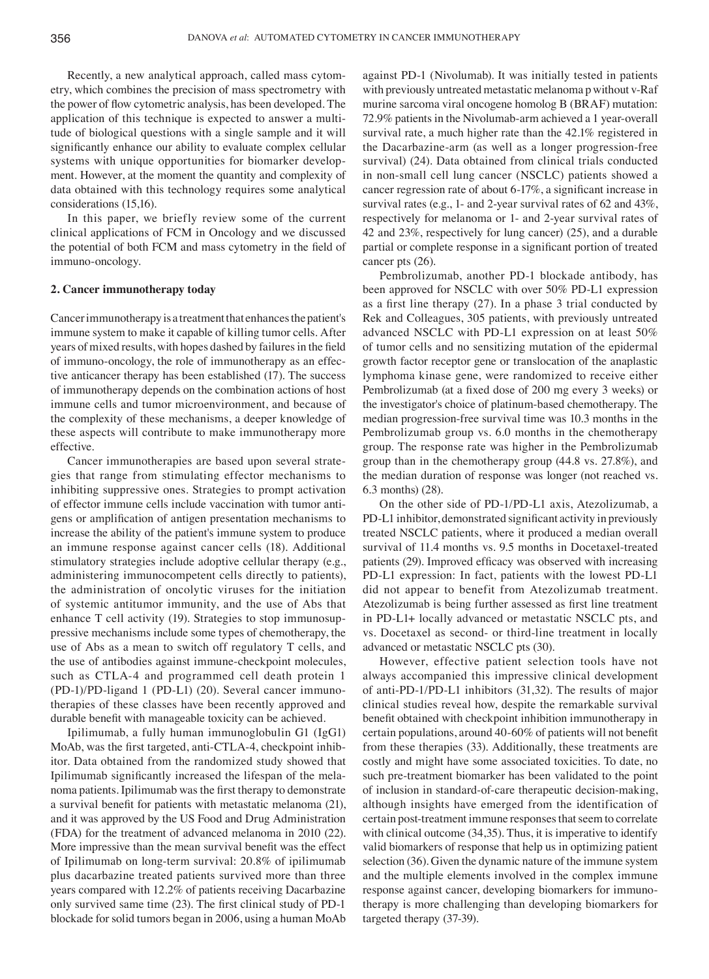Recently, a new analytical approach, called mass cytometry, which combines the precision of mass spectrometry with the power of flow cytometric analysis, has been developed. The application of this technique is expected to answer a multitude of biological questions with a single sample and it will significantly enhance our ability to evaluate complex cellular systems with unique opportunities for biomarker development. However, at the moment the quantity and complexity of data obtained with this technology requires some analytical considerations (15,16).

In this paper, we briefly review some of the current clinical applications of FCM in Oncology and we discussed the potential of both FCM and mass cytometry in the field of immuno-oncology.

# **2. Cancer immunotherapy today**

Cancer immunotherapy is a treatment that enhances the patient's immune system to make it capable of killing tumor cells. After years of mixed results, with hopes dashed by failures in the field of immuno-oncology, the role of immunotherapy as an effective anticancer therapy has been established (17). The success of immunotherapy depends on the combination actions of host immune cells and tumor microenvironment, and because of the complexity of these mechanisms, a deeper knowledge of these aspects will contribute to make immunotherapy more effective.

Cancer immunotherapies are based upon several strategies that range from stimulating effector mechanisms to inhibiting suppressive ones. Strategies to prompt activation of effector immune cells include vaccination with tumor antigens or amplification of antigen presentation mechanisms to increase the ability of the patient's immune system to produce an immune response against cancer cells (18). Additional stimulatory strategies include adoptive cellular therapy (e.g., administering immunocompetent cells directly to patients), the administration of oncolytic viruses for the initiation of systemic antitumor immunity, and the use of Abs that enhance T cell activity (19). Strategies to stop immunosuppressive mechanisms include some types of chemotherapy, the use of Abs as a mean to switch off regulatory T cells, and the use of antibodies against immune-checkpoint molecules, such as CTLA-4 and programmed cell death protein 1 (PD-1)/PD-ligand 1 (PD-L1) (20). Several cancer immunotherapies of these classes have been recently approved and durable benefit with manageable toxicity can be achieved.

Ipilimumab, a fully human immunoglobulin G1 (IgG1) MoAb, was the first targeted, anti‑CTLA‑4, checkpoint inhibitor. Data obtained from the randomized study showed that Ipilimumab significantly increased the lifespan of the melanoma patients. Ipilimumab was the first therapy to demonstrate a survival benefit for patients with metastatic melanoma (21), and it was approved by the US Food and Drug Administration (FDA) for the treatment of advanced melanoma in 2010 (22). More impressive than the mean survival benefit was the effect of Ipilimumab on long-term survival: 20.8% of ipilimumab plus dacarbazine treated patients survived more than three years compared with 12.2% of patients receiving Dacarbazine only survived same time (23). The first clinical study of PD-1 blockade for solid tumors began in 2006, using a human MoAb against PD-1 (Nivolumab). It was initially tested in patients with previously untreated metastatic melanoma p without v-Raf murine sarcoma viral oncogene homolog B (BRAF) mutation: 72.9% patients in the Nivolumab-arm achieved a 1 year-overall survival rate, a much higher rate than the 42.1% registered in the Dacarbazine-arm (as well as a longer progression-free survival) (24). Data obtained from clinical trials conducted in non‑small cell lung cancer (NSCLC) patients showed a cancer regression rate of about 6-17%, a significant increase in survival rates (e.g., 1- and 2-year survival rates of 62 and 43%, respectively for melanoma or 1- and 2-year survival rates of 42 and 23%, respectively for lung cancer) (25), and a durable partial or complete response in a significant portion of treated cancer pts (26).

Pembrolizumab, another PD‑1 blockade antibody, has been approved for NSCLC with over 50% PD-L1 expression as a first line therapy (27). In a phase 3 trial conducted by Rek and Colleagues, 305 patients, with previously untreated advanced NSCLC with PD-L1 expression on at least 50% of tumor cells and no sensitizing mutation of the epidermal growth factor receptor gene or translocation of the anaplastic lymphoma kinase gene, were randomized to receive either Pembrolizumab (at a fixed dose of 200 mg every 3 weeks) or the investigator's choice of platinum-based chemotherapy. The median progression-free survival time was 10.3 months in the Pembrolizumab group vs. 6.0 months in the chemotherapy group. The response rate was higher in the Pembrolizumab group than in the chemotherapy group (44.8 vs. 27.8%), and the median duration of response was longer (not reached vs. 6.3 months) (28).

On the other side of PD‑1/PD‑L1 axis, Atezolizumab, a PD-L1 inhibitor, demonstrated significant activity in previously treated NSCLC patients, where it produced a median overall survival of 11.4 months vs. 9.5 months in Docetaxel-treated patients (29). Improved efficacy was observed with increasing PD-L1 expression: In fact, patients with the lowest PD-L1 did not appear to benefit from Atezolizumab treatment. Atezolizumab is being further assessed as first line treatment in PD-L1+ locally advanced or metastatic NSCLC pts, and vs. Docetaxel as second- or third-line treatment in locally advanced or metastatic NSCLC pts (30).

However, effective patient selection tools have not always accompanied this impressive clinical development of anti‑PD‑1/PD‑L1 inhibitors (31,32). The results of major clinical studies reveal how, despite the remarkable survival benefit obtained with checkpoint inhibition immunotherapy in certain populations, around 40‑60% of patients will not benefit from these therapies (33). Additionally, these treatments are costly and might have some associated toxicities. To date, no such pre-treatment biomarker has been validated to the point of inclusion in standard-of-care therapeutic decision-making, although insights have emerged from the identification of certain post-treatment immune responses that seem to correlate with clinical outcome (34,35). Thus, it is imperative to identify valid biomarkers of response that help us in optimizing patient selection (36). Given the dynamic nature of the immune system and the multiple elements involved in the complex immune response against cancer, developing biomarkers for immunotherapy is more challenging than developing biomarkers for targeted therapy (37-39).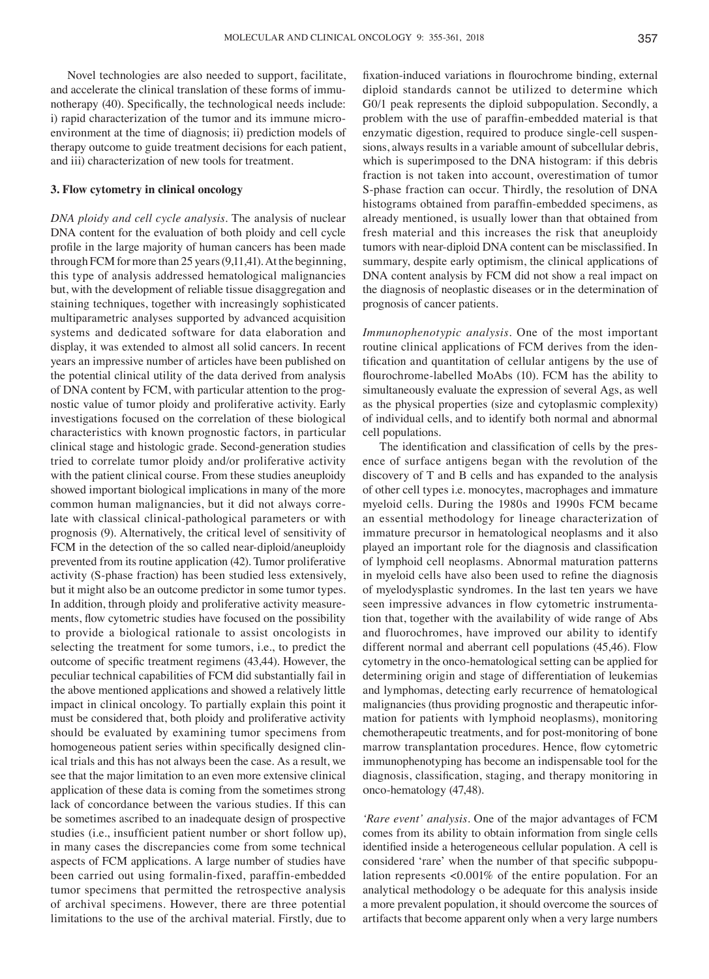Novel technologies are also needed to support, facilitate, and accelerate the clinical translation of these forms of immunotherapy (40). Specifically, the technological needs include: i) rapid characterization of the tumor and its immune microenvironment at the time of diagnosis; ii) prediction models of therapy outcome to guide treatment decisions for each patient, and iii) characterization of new tools for treatment.

# **3. Flow cytometry in clinical oncology**

*DNA ploidy and cell cycle analysis.* The analysis of nuclear DNA content for the evaluation of both ploidy and cell cycle profile in the large majority of human cancers has been made through FCM for more than 25 years(9,11,41). At the beginning, this type of analysis addressed hematological malignancies but, with the development of reliable tissue disaggregation and staining techniques, together with increasingly sophisticated multiparametric analyses supported by advanced acquisition systems and dedicated software for data elaboration and display, it was extended to almost all solid cancers. In recent years an impressive number of articles have been published on the potential clinical utility of the data derived from analysis of DNA content by FCM, with particular attention to the prognostic value of tumor ploidy and proliferative activity. Early investigations focused on the correlation of these biological characteristics with known prognostic factors, in particular clinical stage and histologic grade. Second-generation studies tried to correlate tumor ploidy and/or proliferative activity with the patient clinical course. From these studies aneuploidy showed important biological implications in many of the more common human malignancies, but it did not always correlate with classical clinical-pathological parameters or with prognosis (9). Alternatively, the critical level of sensitivity of FCM in the detection of the so called near-diploid/aneuploidy prevented from its routine application (42). Tumor proliferative activity (S‑phase fraction) has been studied less extensively, but it might also be an outcome predictor in some tumor types. In addition, through ploidy and proliferative activity measurements, flow cytometric studies have focused on the possibility to provide a biological rationale to assist oncologists in selecting the treatment for some tumors, i.e., to predict the outcome of specific treatment regimens (43,44). However, the peculiar technical capabilities of FCM did substantially fail in the above mentioned applications and showed a relatively little impact in clinical oncology. To partially explain this point it must be considered that, both ploidy and proliferative activity should be evaluated by examining tumor specimens from homogeneous patient series within specifically designed clinical trials and this has not always been the case. As a result, we see that the major limitation to an even more extensive clinical application of these data is coming from the sometimes strong lack of concordance between the various studies. If this can be sometimes ascribed to an inadequate design of prospective studies (i.e., insufficient patient number or short follow up), in many cases the discrepancies come from some technical aspects of FCM applications. A large number of studies have been carried out using formalin-fixed, paraffin-embedded tumor specimens that permitted the retrospective analysis of archival specimens. However, there are three potential limitations to the use of the archival material. Firstly, due to fixation‑induced variations in flourochrome binding, external diploid standards cannot be utilized to determine which G0/1 peak represents the diploid subpopulation. Secondly, a problem with the use of paraffin-embedded material is that enzymatic digestion, required to produce single-cell suspensions, always results in a variable amount of subcellular debris, which is superimposed to the DNA histogram: if this debris fraction is not taken into account, overestimation of tumor S-phase fraction can occur. Thirdly, the resolution of DNA histograms obtained from paraffin-embedded specimens, as already mentioned, is usually lower than that obtained from fresh material and this increases the risk that aneuploidy tumors with near‑diploid DNA content can be misclassified. In summary, despite early optimism, the clinical applications of DNA content analysis by FCM did not show a real impact on the diagnosis of neoplastic diseases or in the determination of prognosis of cancer patients.

*Immunophenotypic analysis.* One of the most important routine clinical applications of FCM derives from the identification and quantitation of cellular antigens by the use of flourochrome-labelled MoAbs (10). FCM has the ability to simultaneously evaluate the expression of several Ags, as well as the physical properties (size and cytoplasmic complexity) of individual cells, and to identify both normal and abnormal cell populations.

The identification and classification of cells by the presence of surface antigens began with the revolution of the discovery of T and B cells and has expanded to the analysis of other cell types i.e. monocytes, macrophages and immature myeloid cells. During the 1980s and 1990s FCM became an essential methodology for lineage characterization of immature precursor in hematological neoplasms and it also played an important role for the diagnosis and classification of lymphoid cell neoplasms. Abnormal maturation patterns in myeloid cells have also been used to refine the diagnosis of myelodysplastic syndromes. In the last ten years we have seen impressive advances in flow cytometric instrumentation that, together with the availability of wide range of Abs and fluorochromes, have improved our ability to identify different normal and aberrant cell populations (45,46). Flow cytometry in the onco-hematological setting can be applied for determining origin and stage of differentiation of leukemias and lymphomas, detecting early recurrence of hematological malignancies (thus providing prognostic and therapeutic information for patients with lymphoid neoplasms), monitoring chemotherapeutic treatments, and for post-monitoring of bone marrow transplantation procedures. Hence, flow cytometric immunophenotyping has become an indispensable tool for the diagnosis, classification, staging, and therapy monitoring in οnco‑hematology (47,48).

*'Rare event' analysis.* One of the major advantages of FCM comes from its ability to obtain information from single cells identified inside a heterogeneous cellular population. A cell is considered 'rare' when the number of that specific subpopulation represents <0.001% of the entire population. For an analytical methodology o be adequate for this analysis inside a more prevalent population, it should overcome the sources of artifacts that become apparent only when a very large numbers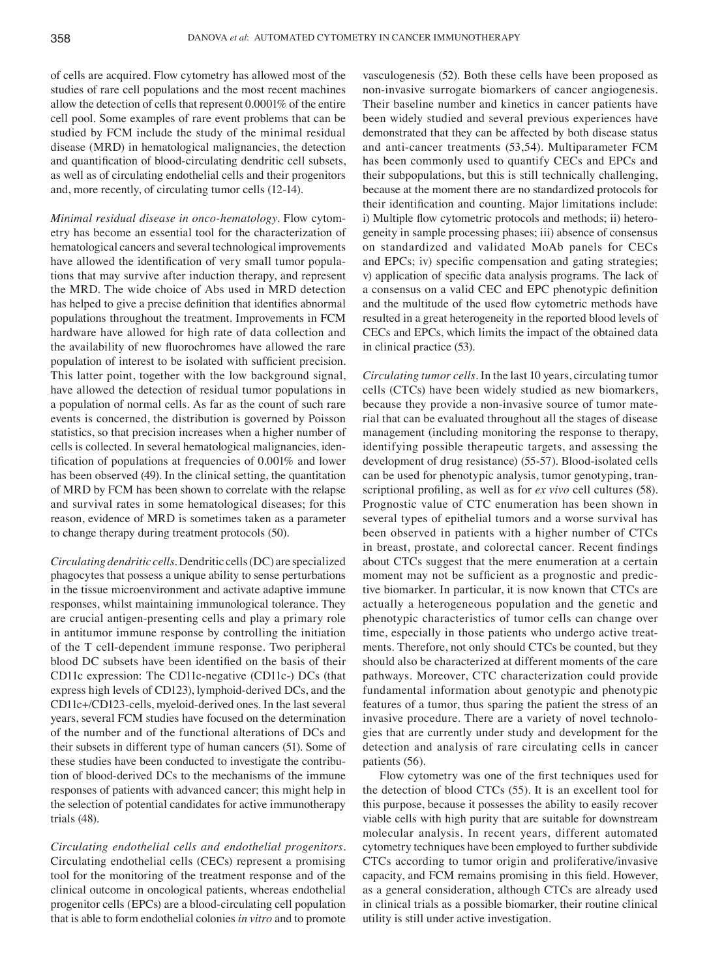of cells are acquired. Flow cytometry has allowed most of the studies of rare cell populations and the most recent machines allow the detection of cells that represent 0.0001% of the entire cell pool. Some examples of rare event problems that can be studied by FCM include the study of the minimal residual disease (MRD) in hematological malignancies, the detection and quantification of blood-circulating dendritic cell subsets, as well as of circulating endothelial cells and their progenitors and, more recently, of circulating tumor cells (12-14)*.*

*Minimal residual disease in onco‑hematology.* Flow cytometry has become an essential tool for the characterization of hematological cancers and several technological improvements have allowed the identification of very small tumor populations that may survive after induction therapy, and represent the MRD. The wide choice of Abs used in MRD detection has helped to give a precise definition that identifies abnormal populations throughout the treatment. Improvements in FCM hardware have allowed for high rate of data collection and the availability of new fluorochromes have allowed the rare population of interest to be isolated with sufficient precision. This latter point, together with the low background signal, have allowed the detection of residual tumor populations in a population of normal cells. As far as the count of such rare events is concerned, the distribution is governed by Poisson statistics, so that precision increases when a higher number of cells is collected. In several hematological malignancies, identification of populations at frequencies of 0.001% and lower has been observed (49). In the clinical setting, the quantitation of MRD by FCM has been shown to correlate with the relapse and survival rates in some hematological diseases; for this reason, evidence of MRD is sometimes taken as a parameter to change therapy during treatment protocols (50).

*Circulating dendritic cells.* Dendritic cells (DC) are specialized phagocytes that possess a unique ability to sense perturbations in the tissue microenvironment and activate adaptive immune responses, whilst maintaining immunological tolerance. They are crucial antigen-presenting cells and play a primary role in antitumor immune response by controlling the initiation of the T cell-dependent immune response. Two peripheral blood DC subsets have been identified on the basis of their CD11c expression: The CD11c‑negative (CD11c‑) DCs (that express high levels of CD123), lymphoid‑derived DCs, and the CD11c+/CD123-cells, myeloid-derived ones. In the last several years, several FCM studies have focused on the determination of the number and of the functional alterations of DCs and their subsets in different type of human cancers (51). Some of these studies have been conducted to investigate the contribution of blood-derived DCs to the mechanisms of the immune responses of patients with advanced cancer; this might help in the selection of potential candidates for active immunotherapy trials (48).

*Circulating endothelial cells and endothelial progenitors.*  Circulating endothelial cells (CECs) represent a promising tool for the monitoring of the treatment response and of the clinical outcome in oncological patients, whereas endothelial progenitor cells (EPCs) are a blood‑circulating cell population that is able to form endothelial colonies *in vitro* and to promote

vasculogenesis (52). Both these cells have been proposed as non-invasive surrogate biomarkers of cancer angiogenesis. Their baseline number and kinetics in cancer patients have been widely studied and several previous experiences have demonstrated that they can be affected by both disease status and anti-cancer treatments (53,54). Multiparameter FCM has been commonly used to quantify CECs and EPCs and their subpopulations, but this is still technically challenging, because at the moment there are no standardized protocols for their identification and counting. Major limitations include: i) Multiple flow cytometric protocols and methods; ii) heterogeneity in sample processing phases; iii) absence of consensus on standardized and validated MoAb panels for CECs and EPCs; iv) specific compensation and gating strategies; v) application of specific data analysis programs. The lack of a consensus on a valid CEC and EPC phenotypic definition and the multitude of the used flow cytometric methods have resulted in a great heterogeneity in the reported blood levels of CECs and EPCs, which limits the impact of the obtained data in clinical practice (53).

*Circulating tumor cells.* In the last 10 years, circulating tumor cells (CTCs) have been widely studied as new biomarkers, because they provide a non-invasive source of tumor material that can be evaluated throughout all the stages of disease management (including monitoring the response to therapy, identifying possible therapeutic targets, and assessing the development of drug resistance) (55-57). Blood‑isolated cells can be used for phenotypic analysis, tumor genotyping, transcriptional profiling, as well as for *ex vivo* cell cultures (58). Prognostic value of CTC enumeration has been shown in several types of epithelial tumors and a worse survival has been observed in patients with a higher number of CTCs in breast, prostate, and colorectal cancer. Recent findings about CTCs suggest that the mere enumeration at a certain moment may not be sufficient as a prognostic and predictive biomarker. In particular, it is now known that CTCs are actually a heterogeneous population and the genetic and phenotypic characteristics of tumor cells can change over time, especially in those patients who undergo active treatments. Therefore, not only should CTCs be counted, but they should also be characterized at different moments of the care pathways. Moreover, CTC characterization could provide fundamental information about genotypic and phenotypic features of a tumor, thus sparing the patient the stress of an invasive procedure. There are a variety of novel technologies that are currently under study and development for the detection and analysis of rare circulating cells in cancer patients (56).

Flow cytometry was one of the first techniques used for the detection of blood CTCs (55). It is an excellent tool for this purpose, because it possesses the ability to easily recover viable cells with high purity that are suitable for downstream molecular analysis. In recent years, different automated cytometry techniques have been employed to further subdivide CTCs according to tumor origin and proliferative/invasive capacity, and FCM remains promising in this field. However, as a general consideration, although CTCs are already used in clinical trials as a possible biomarker, their routine clinical utility is still under active investigation.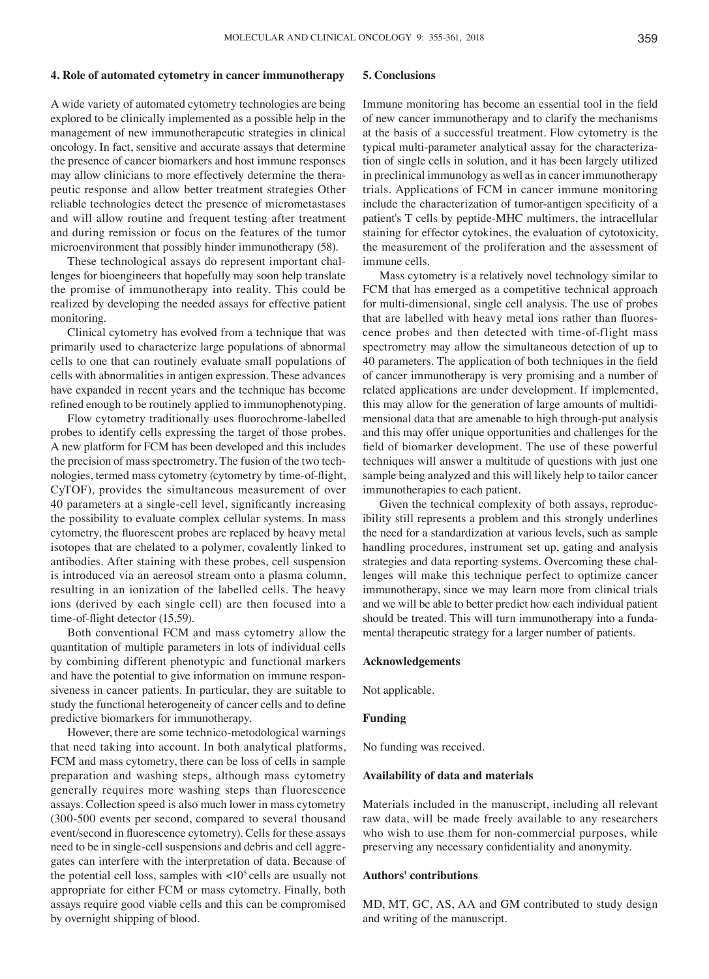#### **4. Role of automated cytometry in cancer immunotherapy**

# A wide variety of automated cytometry technologies are being explored to be clinically implemented as a possible help in the management of new immunotherapeutic strategies in clinical oncology. In fact, sensitive and accurate assays that determine the presence of cancer biomarkers and host immune responses may allow clinicians to more effectively determine the therapeutic response and allow better treatment strategies Other reliable technologies detect the presence of micrometastases and will allow routine and frequent testing after treatment and during remission or focus on the features of the tumor microenvironment that possibly hinder immunotherapy (58).

These technological assays do represent important challenges for bioengineers that hopefully may soon help translate the promise of immunotherapy into reality. This could be realized by developing the needed assays for effective patient monitoring.

Clinical cytometry has evolved from a technique that was primarily used to characterize large populations of abnormal cells to one that can routinely evaluate small populations of cells with abnormalities in antigen expression. These advances have expanded in recent years and the technique has become refined enough to be routinely applied to immunophenotyping.

Flow cytometry traditionally uses fluorochrome-labelled probes to identify cells expressing the target of those probes. A new platform for FCM has been developed and this includes the precision of mass spectrometry. The fusion of the two technologies, termed mass cytometry (cytometry by time‑of‑flight, CyTOF), provides the simultaneous measurement of over 40 parameters at a single-cell level, significantly increasing the possibility to evaluate complex cellular systems. In mass cytometry, the fluorescent probes are replaced by heavy metal isotopes that are chelated to a polymer, covalently linked to antibodies. After staining with these probes, cell suspension is introduced via an aereosol stream onto a plasma column, resulting in an ionization of the labelled cells. The heavy ions (derived by each single cell) are then focused into a time-of-flight detector (15,59).

Both conventional FCM and mass cytometry allow the quantitation of multiple parameters in lots of individual cells by combining different phenotypic and functional markers and have the potential to give information on immune responsiveness in cancer patients. In particular, they are suitable to study the functional heterogeneity of cancer cells and to define predictive biomarkers for immunotherapy.

However, there are some technico-metodological warnings that need taking into account. In both analytical platforms, FCM and mass cytometry, there can be loss of cells in sample preparation and washing steps, although mass cytometry generally requires more washing steps than fluorescence assays. Collection speed is also much lower in mass cytometry (300‑500 events per second, compared to several thousand event/second in fluorescence cytometry). Cells for these assays need to be in single-cell suspensions and debris and cell aggregates can interfere with the interpretation of data. Because of the potential cell loss, samples with  $<10^5$  cells are usually not appropriate for either FCM or mass cytometry. Finally, both assays require good viable cells and this can be compromised by overnight shipping of blood.

# **5. Conclusions**

Immune monitoring has become an essential tool in the field of new cancer immunotherapy and to clarify the mechanisms at the basis of a successful treatment. Flow cytometry is the typical multi-parameter analytical assay for the characterization of single cells in solution, and it has been largely utilized in preclinical immunology as well as in cancer immunotherapy trials. Applications of FCM in cancer immune monitoring include the characterization of tumor-antigen specificity of a patient's T cells by peptide-MHC multimers, the intracellular staining for effector cytokines, the evaluation of cytotoxicity, the measurement of the proliferation and the assessment of immune cells.

Mass cytometry is a relatively novel technology similar to FCM that has emerged as a competitive technical approach for multi-dimensional, single cell analysis. The use of probes that are labelled with heavy metal ions rather than fluorescence probes and then detected with time-of-flight mass spectrometry may allow the simultaneous detection of up to 40 parameters. The application of both techniques in the field of cancer immunotherapy is very promising and a number of related applications are under development. If implemented, this may allow for the generation of large amounts of multidimensional data that are amenable to high through-put analysis and this may offer unique opportunities and challenges for the field of biomarker development. The use of these powerful techniques will answer a multitude of questions with just one sample being analyzed and this will likely help to tailor cancer immunotherapies to each patient.

Given the technical complexity of both assays, reproducibility still represents a problem and this strongly underlines the need for a standardization at various levels, such as sample handling procedures, instrument set up, gating and analysis strategies and data reporting systems. Overcoming these challenges will make this technique perfect to optimize cancer immunotherapy, since we may learn more from clinical trials and we will be able to better predict how each individual patient should be treated. This will turn immunotherapy into a fundamental therapeutic strategy for a larger number of patients.

#### **Acknowledgements**

Not applicable.

## **Funding**

No funding was received.

# **Availability of data and materials**

Materials included in the manuscript, including all relevant raw data, will be made freely available to any researchers who wish to use them for non-commercial purposes, while preserving any necessary confidentiality and anonymity.

#### **Authors' contributions**

MD, MT, GC, AS, AA and GM contributed to study design and writing of the manuscript.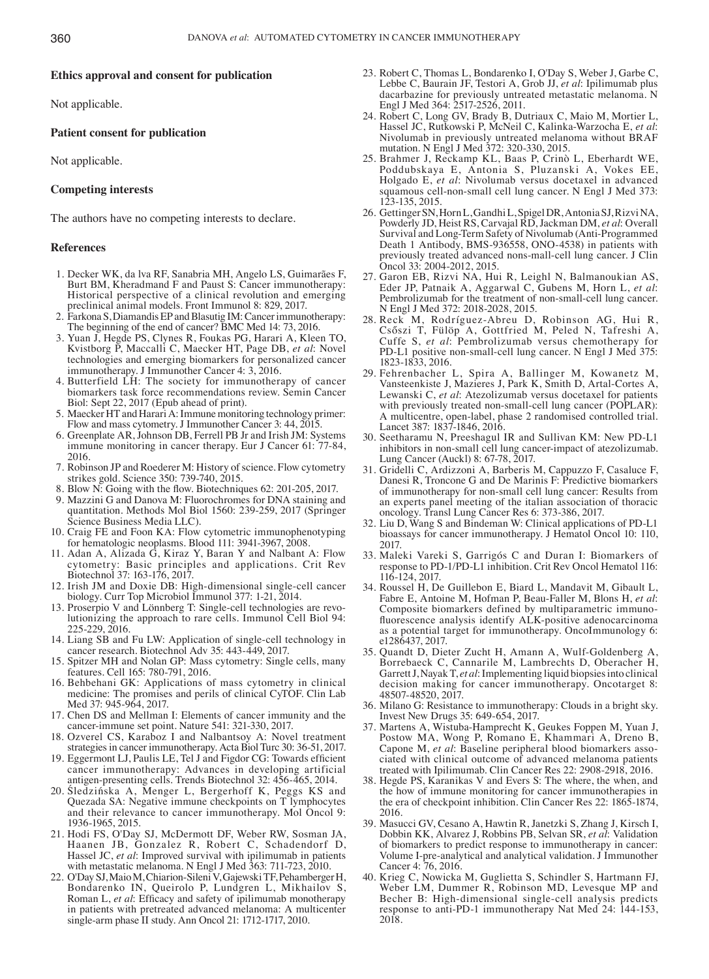### **Ethics approval and consent for publication**

Not applicable.

#### **Patient consent for publication**

Not applicable.

# **Competing interests**

The authors have no competing interests to declare.

#### **References**

- 1. Decker WK, da lva RF, Sanabria MH, Angelo LS, Guimarães F, Burt BM, Kheradmand F and Paust S: Cancer immunotherapy: Historical perspective of a clinical revolution and emerging preclinical animal models. Front Immunol 8: 829, 2017.
- 2. FarkonaS, DiamandisEP and Blasutig IM: Cancer immunotherapy: The beginning of the end of cancer? BMC Med 14: 73, 2016.
- 3. Yuan J, Hegde PS, Clynes R, Foukas PG, Harari A, Kleen TO, Kvistborg P, Maccalli C, Maecker HT, Page DB, *et al*: Novel technologies and emerging biomarkers for personalized cancer immunotherapy. J Immunother Cancer 4: 3, 2016.
- 4. Butterfield LH: The society for immunotherapy of cancer biomarkers task force recommendations review. Semin Cancer Biol: Sept 22, 2017 (Epub ahead of print).
- 5. Maecker HT and Harari A: Immune monitoring technology primer: Flow and mass cytometry. J Immunother Cancer 3: 44, 2015.
- 6. Greenplate AR, Johnson DB, Ferrell PB Jr and Irish JM: Systems immune monitoring in cancer therapy. Eur J Cancer 61: 77-84, 2016.
- 7. Robinson JP and Roederer M: History of science. Flow cytometry strikes gold. Science 350: 739-740, 2015.
- 8. Blow N: Going with the flow. Biotechniques 62: 201‑205, 2017.
- 9. Mazzini G and Danova M: Fluorochromes for DNA staining and quantitation. Methods Mol Biol 1560: 239‑259, 2017 (Springer Science Business Media LLC).
- 10. Craig FE and Foon KA: Flow cytometric immunophenotyping for hematologic neoplasms. Blood 111: 3941-3967, 2008.
- 11. Adan A, Alizada G, Kiraz Y, Baran Y and Nalbant A: Flow cytometry: Basic principles and applications. Crit Rev Biotechnol 37: 163-176, 2017.
- 12. Irish JM and Doxie DB: High-dimensional single-cell cancer biology. Curr Top Microbiol Immunol 377: 1-21, 2014.
- 13. Proserpio V and Lönnberg T: Single-cell technologies are revolutionizing the approach to rare cells. Immunol Cell Biol 94: 225-229, 2016.
- 14. Liang SB and Fu LW: Application of single‑cell technology in cancer research. Biotechnol Adv 35: 443-449, 2017.
- 15. Spitzer MH and Nolan GP: Mass cytometry: Single cells, many features. Cell 165: 780-791, 2016.
- 16. Behbehani GK: Applications of mass cytometry in clinical medicine: The promises and perils of clinical CyTOF. Clin Lab Med 37: 945-964, 2017.
- 17. Chen DS and Mellman I: Elements of cancer immunity and the cancer-immune set point. Nature 541: 321-330, 2017.
- 18. Ozverel CS, Karaboz I and Nalbantsoy A: Novel treatment strategies in cancer immunotherapy. Acta Biol Turc 30: 36-51, 2017.
- 19. Eggermont LJ, Paulis LE, Tel J and Figdor CG: Towards efficient cancer immunotherapy: Advances in developing artificial antigen-presenting cells. Trends Biotechnol 32: 456-465, 2014.
- 20. Śledzińska A, Menger L, Bergerhoff K, Peggs KS and Quezada SA: Negative immune checkpoints on T lymphocytes and their relevance to cancer immunotherapy. Mol Oncol 9: 1936-1965, 2015.
- 21. Hodi FS, O'Day SJ, McDermott DF, Weber RW, Sosman JA, Haanen JB, Gonzalez R, Robert C, Schadendorf D, Hassel JC, *et al*: Improved survival with ipilimumab in patients with metastatic melanoma. N Engl J Med 363: 711-723, 2010.
- 22. O'Day SJ, Maio M, Chiarion-Sileni V, Gajewski TF, Pehamberger H, Bondarenko IN, Queirolo P, Lundgren L, Mikhailov S, Roman L, *et al*: Efficacy and safety of ipilimumab monotherapy in patients with pretreated advanced melanoma: A multicenter single-arm phase II study. Ann Oncol 21: 1712-1717, 2010.
- 23. Robert C, Thomas L, Bondarenko I, O'Day S, Weber J, Garbe C, Lebbe C, Baurain JF, Testori A, Grob JJ, *et al*: Ipilimumab plus dacarbazine for previously untreated metastatic melanoma. N Engl J Med 364: 2517-2526, 2011.
- 24. Robert C, Long GV, Brady B, Dutriaux C, Maio M, Mortier L, Hassel JC, Rutkowski P, McNeil C, Kalinka‑Warzocha E, *et al*: Nivolumab in previously untreated melanoma without BRAF mutation. N Engl J Med 372: 320-330, 2015.
- 25. Brahmer J, Reckamp KL, Baas P, Crinò L, Eberhardt WE, Poddubskaya E, Antonia S, Pluzanski A, Vokes EE, Holgado E, *et al*: Nivolumab versus docetaxel in advanced squamous cell-non-small cell lung cancer. N Engl J Med 373: 123-135, 2015.
- 26. GettingerSN, HornL, GandhiL, SpigelDR, AntoniaSJ, RizviNA, Powderly JD, Heist RS, Carvajal RD, Jackman DM, *et al*: Overall Survival and Long‑Term Safety of Nivolumab (Anti‑Programmed Death 1 Antibody, BMS‑936558, ONO‑4538) in patients with previously treated advanced nons-mall-cell lung cancer. J Clin Oncol 33: 2004-2012, 2015.
- 27. Garon EB, Rizvi NA, Hui R, Leighl N, Balmanoukian AS, Eder JP, Patnaik A, Aggarwal C, Gubens M, Horn L, *et al*: Pembrolizumab for the treatment of non-small-cell lung cancer. N Engl J Med 372: 2018-2028, 2015.
- 28. Reck M, Rodríguez‑Abreu D, Robinson AG, Hui R, Csőszi T, Fülöp A, Gottfried M, Peled N, Tafreshi A, Cuffe S, *et al*: Pembrolizumab versus chemotherapy for PD-L1 positive non-small-cell lung cancer. N Engl J Med 375: 1823-1833, 2016.
- 29. Fehrenbacher L, Spira A, Ballinger M, Kowanetz M, Vansteenkiste J, Mazieres J, Park K, Smith D, Artal‑Cortes A, Lewanski C, *et al*: Atezolizumab versus docetaxel for patients with previously treated non-small-cell lung cancer (POPLAR): A multicentre, open-label, phase 2 randomised controlled trial. Lancet 387: 1837-1846, 2016.
- 30. Seetharamu N, Preeshagul IR and Sullivan KM: New PD-L1 inhibitors in non‑small cell lung cancer‑impact of atezolizumab. Lung Cancer (Auckl) 8: 67‑78, 2017.
- 31. Gridelli C, Ardizzoni A, Barberis M, Cappuzzo F, Casaluce F, Danesi R, Troncone G and De Marinis F: Predictive biomarkers of immunotherapy for non-small cell lung cancer: Results from an experts panel meeting of the italian association of thoracic oncology. Transl Lung Cancer Res 6: 373-386, 2017.
- 32. Liu D, Wang S and Bindeman W: Clinical applications of PD-L1 bioassays for cancer immunotherapy. J Hematol Oncol 10: 110, 2017.
- 33. Maleki Vareki S, Garrigós C and Duran I: Biomarkers of response to PD-1/PD-L1 inhibition. Crit Rev Oncol Hematol 116: 116-124, 2017.
- 34. Roussel H, De Guillebon E, Biard L, Mandavit M, Gibault L, Fabre E, Antoine M, Hofman P, Beau‑Faller M, Blons H, *et al*: Composite biomarkers defined by multiparametric immunofluorescence analysis identify ALK‑positive adenocarcinoma as a potential target for immunotherapy. OncoImmunology 6: e1286437, 2017.
- 35. Quandt D, Dieter Zucht H, Amann A, Wulf-Goldenberg A, Borrebaeck C, Cannarile M, Lambrechts D, Oberacher H, GarrettJ, NayakT, *et al*: Implementing liquid biopsies into clinical decision making for cancer immunotherapy. Oncotarget 8: 48507-48520, 2017.
- 36. Milano G: Resistance to immunotherapy: Clouds in a bright sky. Invest New Drugs 35: 649-654, 2017.
- 37. Martens A, Wistuba‑Hamprecht K, Geukes Foppen M, Yuan J, Postow MA, Wong P, Romano E, Khammari A, Dreno B, Capone M, *et al*: Baseline peripheral blood biomarkers associated with clinical outcome of advanced melanoma patients treated with Ipilimumab. Clin Cancer Res 22: 2908-2918, 2016.
- 38. Hegde PS, Karanikas V and Evers S: The where, the when, and the how of immune monitoring for cancer immunotherapies in the era of checkpoint inhibition. Clin Cancer Res 22: 1865-1874, 2016.
- 39. Masucci GV, Cesano A, Hawtin R, Janetzki S, Zhang J, Kirsch I, Dobbin KK, Alvarez J, Robbins PB, Selvan SR, *et al*: Validation of biomarkers to predict response to immunotherapy in cancer: Volume I-pre-analytical and analytical validation. J Immunother
- 40. Krieg C, Nowicka M, Guglietta S, Schindler S, Hartmann FJ, Weber LM, Dummer R, Robinson MD, Levesque MP and Becher B: High-dimensional single-cell analysis predicts response to anti-PD-1 immunotherapy Nat Med 24: 144-153, 2018.